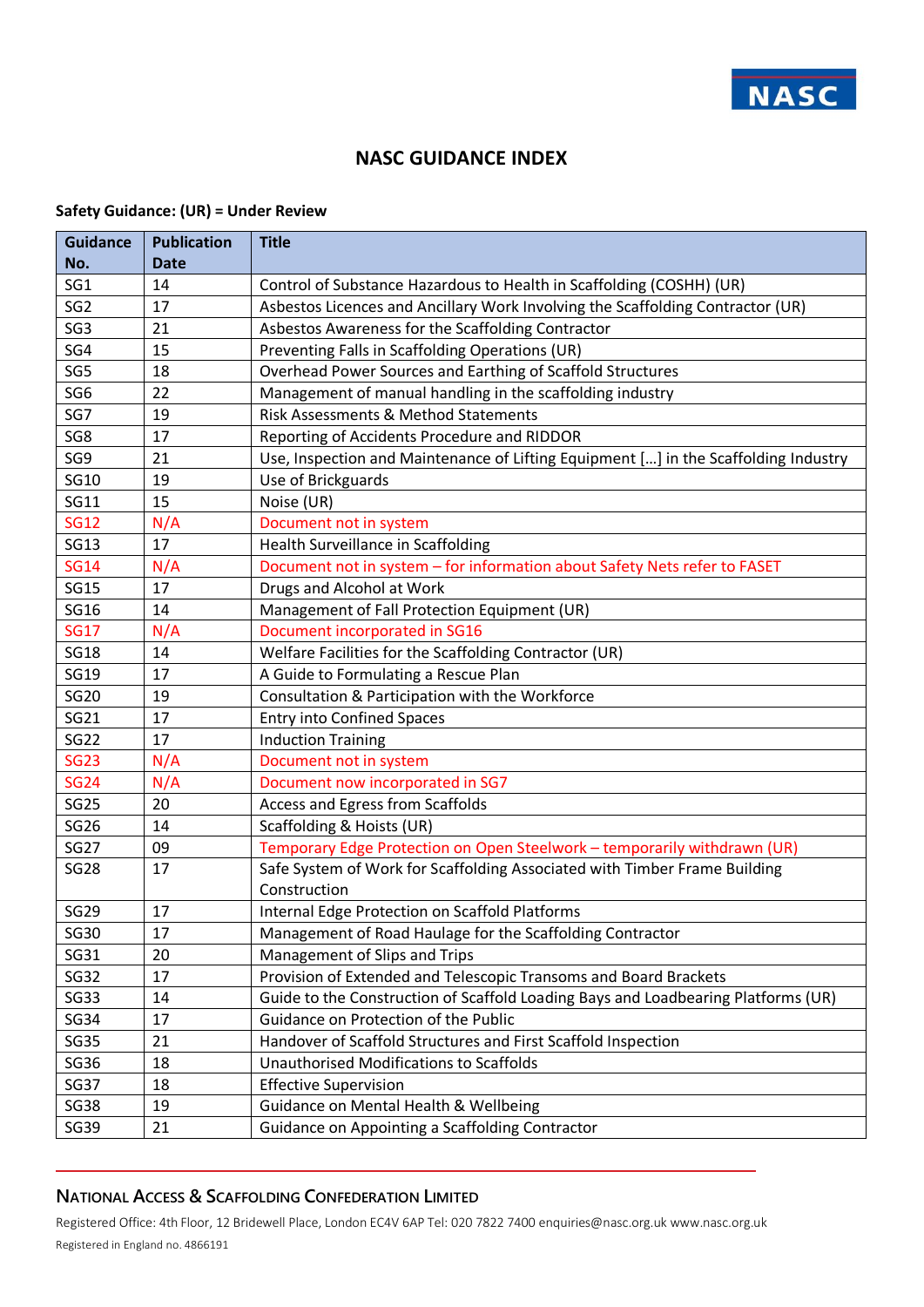

#### **NASC GUIDANCE INDEX**

#### **Safety Guidance: (UR) = Under Review**

| <b>Guidance</b> | <b>Publication</b> | <b>Title</b>                                                                        |
|-----------------|--------------------|-------------------------------------------------------------------------------------|
| No.             | <b>Date</b>        |                                                                                     |
| SG <sub>1</sub> | 14                 | Control of Substance Hazardous to Health in Scaffolding (COSHH) (UR)                |
| SG <sub>2</sub> | 17                 | Asbestos Licences and Ancillary Work Involving the Scaffolding Contractor (UR)      |
| SG <sub>3</sub> | 21                 | Asbestos Awareness for the Scaffolding Contractor                                   |
| SG4             | 15                 | Preventing Falls in Scaffolding Operations (UR)                                     |
| SG5             | 18                 | Overhead Power Sources and Earthing of Scaffold Structures                          |
| SG <sub>6</sub> | 22                 | Management of manual handling in the scaffolding industry                           |
| SG7             | 19                 | Risk Assessments & Method Statements                                                |
| SG8             | 17                 | Reporting of Accidents Procedure and RIDDOR                                         |
| SG9             | 21                 | Use, Inspection and Maintenance of Lifting Equipment [] in the Scaffolding Industry |
| <b>SG10</b>     | 19                 | Use of Brickguards                                                                  |
| <b>SG11</b>     | 15                 | Noise (UR)                                                                          |
| <b>SG12</b>     | N/A                | Document not in system                                                              |
| <b>SG13</b>     | 17                 | Health Surveillance in Scaffolding                                                  |
| <b>SG14</b>     | N/A                | Document not in system - for information about Safety Nets refer to FASET           |
| <b>SG15</b>     | 17                 | Drugs and Alcohol at Work                                                           |
| <b>SG16</b>     | 14                 | Management of Fall Protection Equipment (UR)                                        |
| <b>SG17</b>     | N/A                | Document incorporated in SG16                                                       |
| <b>SG18</b>     | 14                 | Welfare Facilities for the Scaffolding Contractor (UR)                              |
| <b>SG19</b>     | 17                 | A Guide to Formulating a Rescue Plan                                                |
| <b>SG20</b>     | 19                 | Consultation & Participation with the Workforce                                     |
| SG21            | 17                 | <b>Entry into Confined Spaces</b>                                                   |
| <b>SG22</b>     | 17                 | <b>Induction Training</b>                                                           |
| <b>SG23</b>     | N/A                | Document not in system                                                              |
| <b>SG24</b>     | N/A                | Document now incorporated in SG7                                                    |
| <b>SG25</b>     | 20                 | Access and Egress from Scaffolds                                                    |
| <b>SG26</b>     | 14                 | Scaffolding & Hoists (UR)                                                           |
| <b>SG27</b>     | 09                 | Temporary Edge Protection on Open Steelwork - temporarily withdrawn (UR)            |
| <b>SG28</b>     | 17                 | Safe System of Work for Scaffolding Associated with Timber Frame Building           |
|                 |                    | Construction                                                                        |
| <b>SG29</b>     | 17                 | Internal Edge Protection on Scaffold Platforms                                      |
| SG30            | 17                 | Management of Road Haulage for the Scaffolding Contractor                           |
| SG31            | 20                 | Management of Slips and Trips                                                       |
| SG32            | 17                 | Provision of Extended and Telescopic Transoms and Board Brackets                    |
| <b>SG33</b>     | 14                 | Guide to the Construction of Scaffold Loading Bays and Loadbearing Platforms (UR)   |
| <b>SG34</b>     | 17                 | Guidance on Protection of the Public                                                |
| <b>SG35</b>     | 21                 | Handover of Scaffold Structures and First Scaffold Inspection                       |
| SG36            | 18                 | <b>Unauthorised Modifications to Scaffolds</b>                                      |
| SG37            | 18                 | <b>Effective Supervision</b>                                                        |
| <b>SG38</b>     | 19                 | Guidance on Mental Health & Wellbeing                                               |
| SG39            | 21                 | Guidance on Appointing a Scaffolding Contractor                                     |

## **NATIONAL ACCESS & SCAFFOLDING CONFEDERATION LIMITED**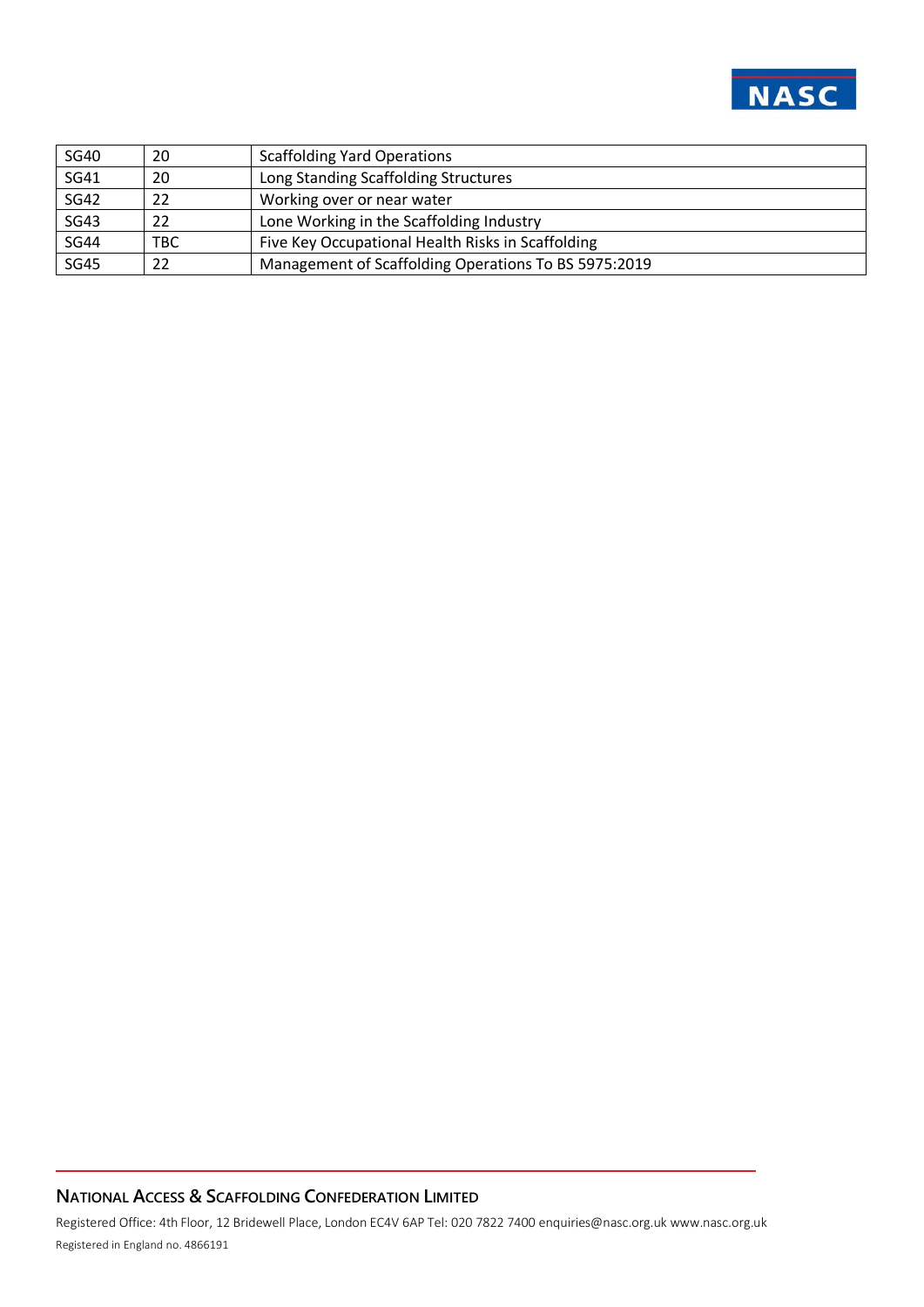

| <b>SG40</b> | 20  | <b>Scaffolding Yard Operations</b>                   |
|-------------|-----|------------------------------------------------------|
| <b>SG41</b> | 20  | Long Standing Scaffolding Structures                 |
| <b>SG42</b> | 22  | Working over or near water                           |
| <b>SG43</b> | 22  | Lone Working in the Scaffolding Industry             |
| <b>SG44</b> | TBC | Five Key Occupational Health Risks in Scaffolding    |
| <b>SG45</b> | 22  | Management of Scaffolding Operations To BS 5975:2019 |

# **NATIONAL ACCESS & SCAFFOLDING CONFEDERATION LIMITED**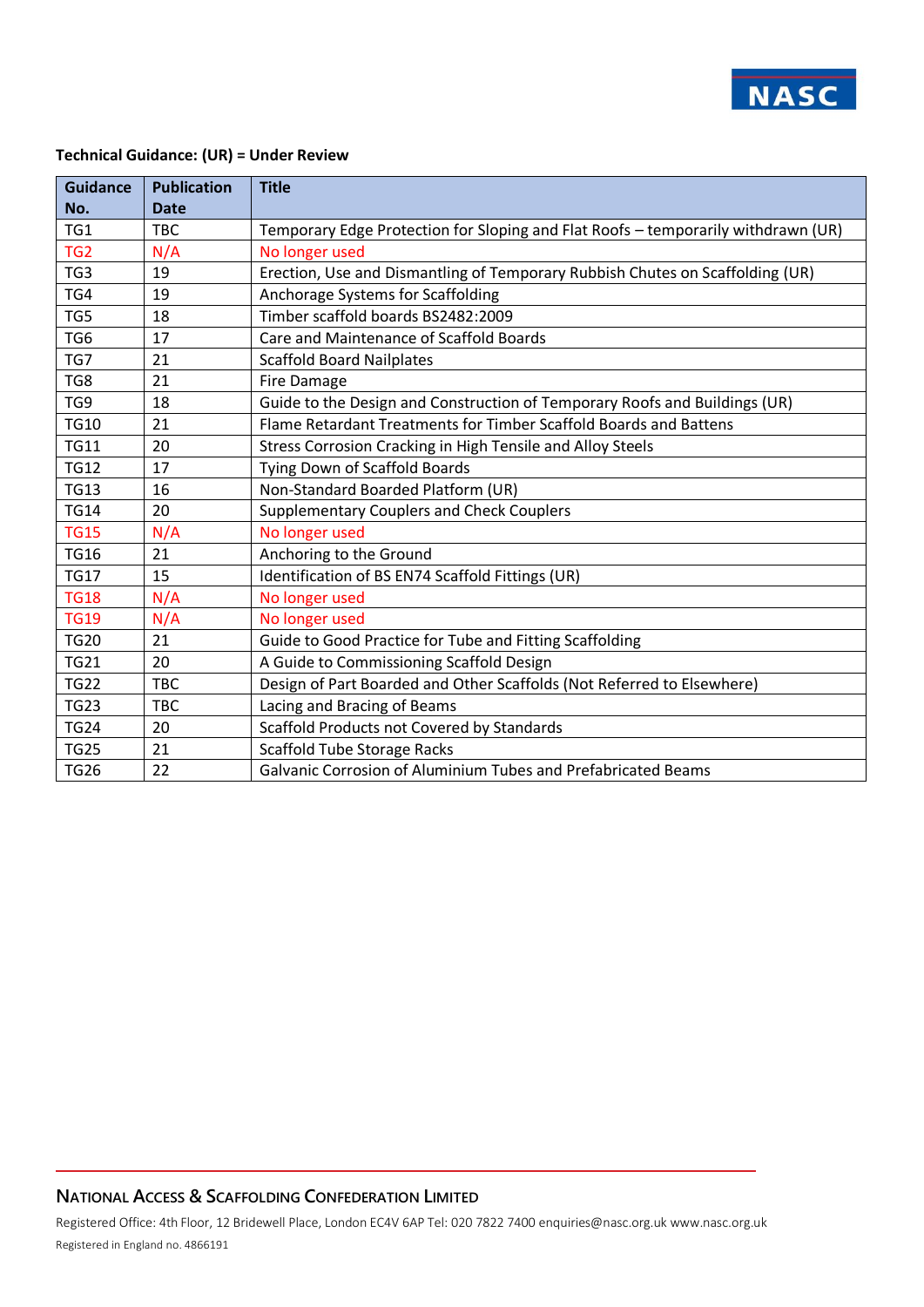

#### **Technical Guidance: (UR) = Under Review**

| <b>Guidance</b> | <b>Publication</b> | <b>Title</b>                                                                      |
|-----------------|--------------------|-----------------------------------------------------------------------------------|
| No.             | <b>Date</b>        |                                                                                   |
| TG1             | <b>TBC</b>         | Temporary Edge Protection for Sloping and Flat Roofs - temporarily withdrawn (UR) |
| TG <sub>2</sub> | N/A                | No longer used                                                                    |
| TG3             | 19                 | Erection, Use and Dismantling of Temporary Rubbish Chutes on Scaffolding (UR)     |
| TG4             | 19                 | Anchorage Systems for Scaffolding                                                 |
| TG5             | 18                 | Timber scaffold boards BS2482:2009                                                |
| TG <sub>6</sub> | 17                 | Care and Maintenance of Scaffold Boards                                           |
| TG7             | 21                 | <b>Scaffold Board Nailplates</b>                                                  |
| TG8             | 21                 | Fire Damage                                                                       |
| TG9             | 18                 | Guide to the Design and Construction of Temporary Roofs and Buildings (UR)        |
| <b>TG10</b>     | 21                 | Flame Retardant Treatments for Timber Scaffold Boards and Battens                 |
| <b>TG11</b>     | 20                 | Stress Corrosion Cracking in High Tensile and Alloy Steels                        |
| <b>TG12</b>     | 17                 | Tying Down of Scaffold Boards                                                     |
| <b>TG13</b>     | 16                 | Non-Standard Boarded Platform (UR)                                                |
| <b>TG14</b>     | 20                 | <b>Supplementary Couplers and Check Couplers</b>                                  |
| <b>TG15</b>     | N/A                | No longer used                                                                    |
| <b>TG16</b>     | 21                 | Anchoring to the Ground                                                           |
| <b>TG17</b>     | 15                 | Identification of BS EN74 Scaffold Fittings (UR)                                  |
| <b>TG18</b>     | N/A                | No longer used                                                                    |
| <b>TG19</b>     | N/A                | No longer used                                                                    |
| <b>TG20</b>     | 21                 | Guide to Good Practice for Tube and Fitting Scaffolding                           |
| <b>TG21</b>     | 20                 | A Guide to Commissioning Scaffold Design                                          |
| <b>TG22</b>     | <b>TBC</b>         | Design of Part Boarded and Other Scaffolds (Not Referred to Elsewhere)            |
| <b>TG23</b>     | <b>TBC</b>         | Lacing and Bracing of Beams                                                       |
| <b>TG24</b>     | 20                 | Scaffold Products not Covered by Standards                                        |
| <b>TG25</b>     | 21                 | <b>Scaffold Tube Storage Racks</b>                                                |
| <b>TG26</b>     | 22                 | Galvanic Corrosion of Aluminium Tubes and Prefabricated Beams                     |

#### **NATIONAL ACCESS & SCAFFOLDING CONFEDERATION LIMITED**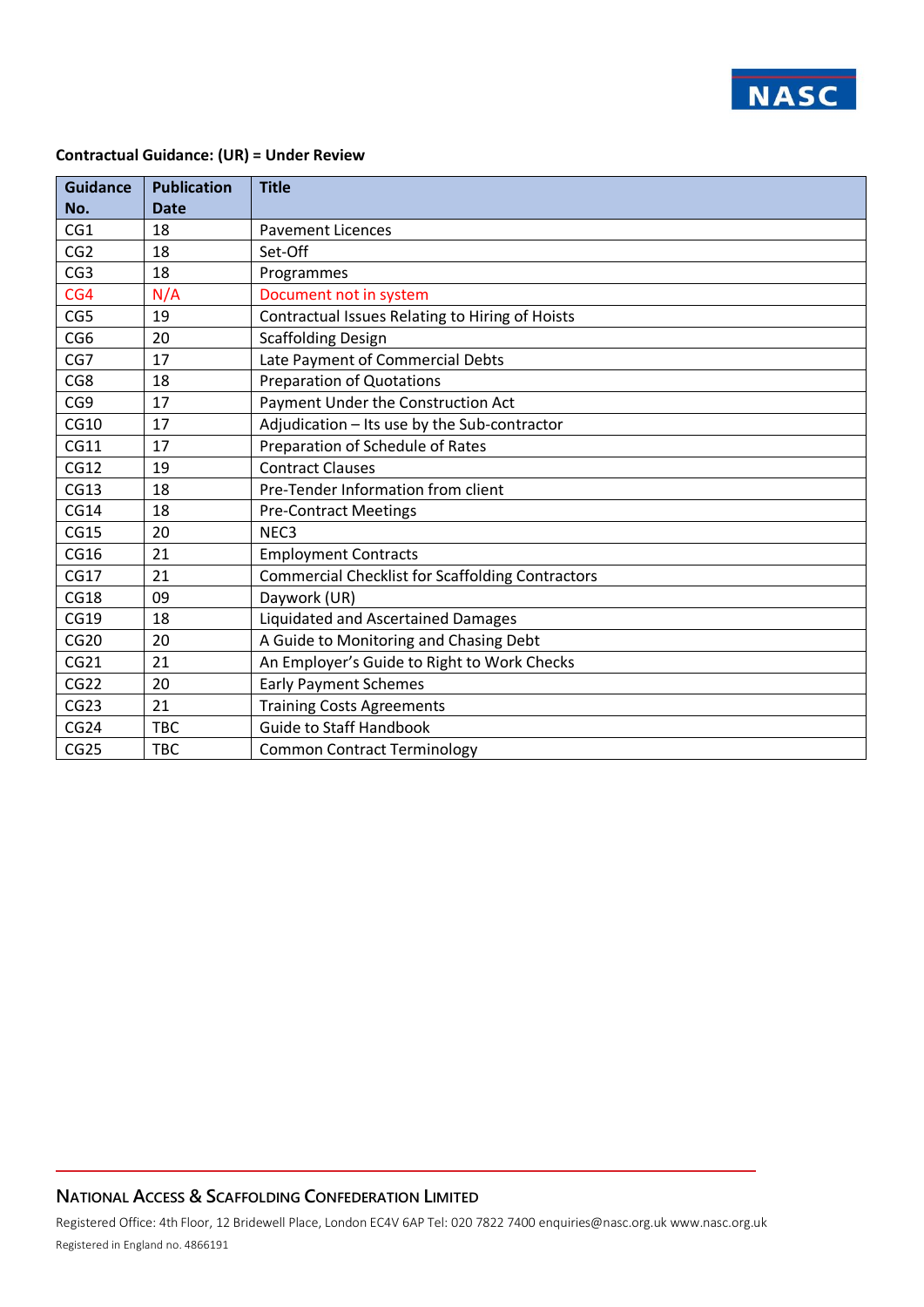

#### **Contractual Guidance: (UR) = Under Review**

| <b>Guidance</b> | <b>Publication</b> | <b>Title</b>                                            |
|-----------------|--------------------|---------------------------------------------------------|
| No.             | <b>Date</b>        |                                                         |
| CG1             | 18                 | <b>Pavement Licences</b>                                |
| CG <sub>2</sub> | 18                 | Set-Off                                                 |
| CG <sub>3</sub> | 18                 | Programmes                                              |
| CG4             | N/A                | Document not in system                                  |
| CG5             | 19                 | Contractual Issues Relating to Hiring of Hoists         |
| CG <sub>6</sub> | 20                 | <b>Scaffolding Design</b>                               |
| CG7             | 17                 | Late Payment of Commercial Debts                        |
| CG8             | 18                 | <b>Preparation of Quotations</b>                        |
| CG9             | 17                 | Payment Under the Construction Act                      |
| CG10            | 17                 | Adjudication - Its use by the Sub-contractor            |
| CG11            | 17                 | Preparation of Schedule of Rates                        |
| CG12            | 19                 | <b>Contract Clauses</b>                                 |
| CG13            | 18                 | Pre-Tender Information from client                      |
| CG14            | 18                 | <b>Pre-Contract Meetings</b>                            |
| <b>CG15</b>     | 20                 | NEC <sub>3</sub>                                        |
| <b>CG16</b>     | 21                 | <b>Employment Contracts</b>                             |
| CG17            | 21                 | <b>Commercial Checklist for Scaffolding Contractors</b> |
| <b>CG18</b>     | 09                 | Daywork (UR)                                            |
| <b>CG19</b>     | 18                 | Liquidated and Ascertained Damages                      |
| <b>CG20</b>     | 20                 | A Guide to Monitoring and Chasing Debt                  |
| CG21            | 21                 | An Employer's Guide to Right to Work Checks             |
| CG22            | 20                 | <b>Early Payment Schemes</b>                            |
| CG23            | 21                 | <b>Training Costs Agreements</b>                        |
| CG24            | <b>TBC</b>         | <b>Guide to Staff Handbook</b>                          |
| CG25            | <b>TBC</b>         | <b>Common Contract Terminology</b>                      |

## **NATIONAL ACCESS & SCAFFOLDING CONFEDERATION LIMITED**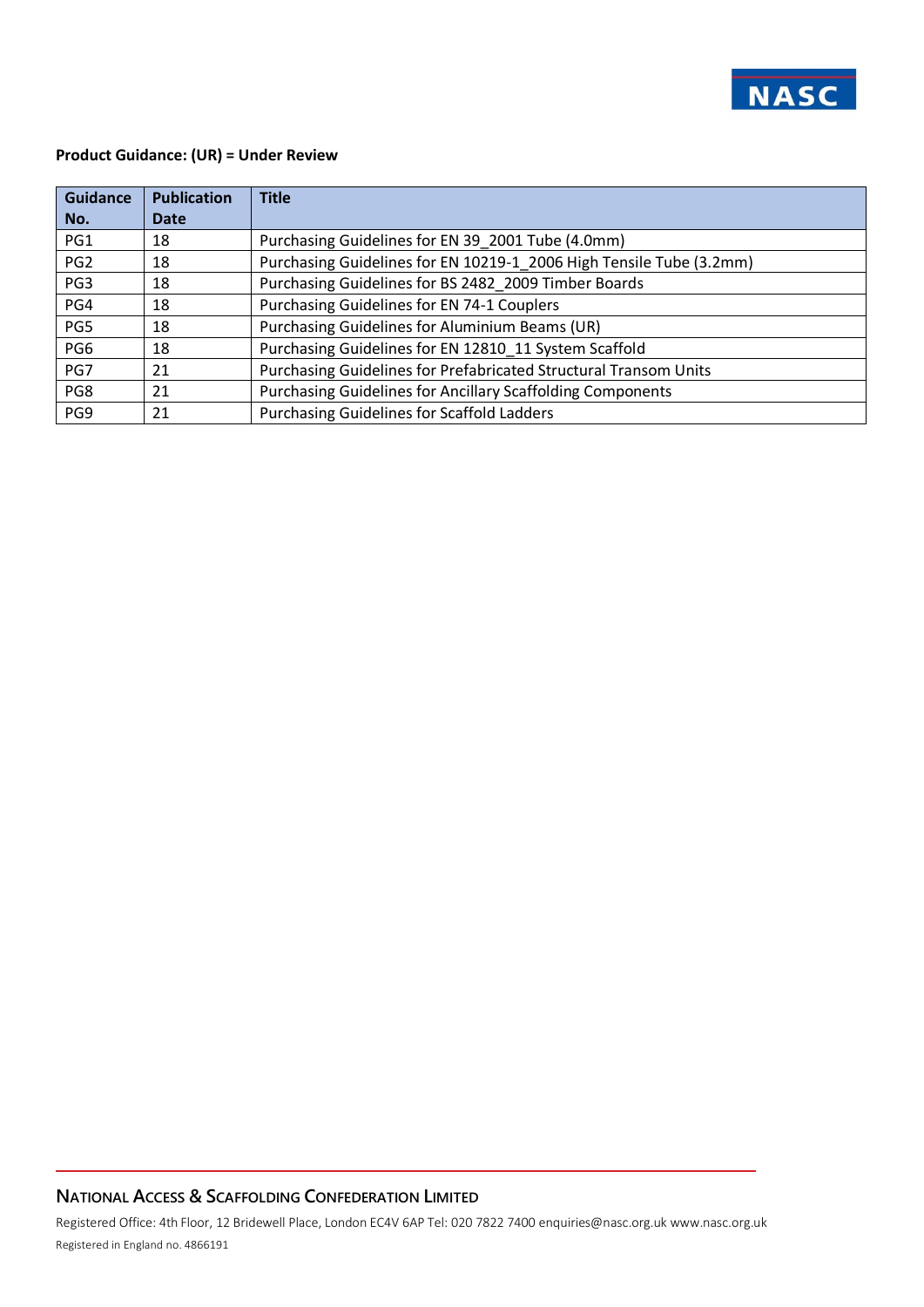

#### **Product Guidance: (UR) = Under Review**

| <b>Guidance</b> | <b>Publication</b> | <b>Title</b>                                                        |
|-----------------|--------------------|---------------------------------------------------------------------|
| No.             | Date               |                                                                     |
| PG1             | 18                 | Purchasing Guidelines for EN 39_2001 Tube (4.0mm)                   |
| PG <sub>2</sub> | 18                 | Purchasing Guidelines for EN 10219-1 2006 High Tensile Tube (3.2mm) |
| PG3             | 18                 | Purchasing Guidelines for BS 2482 2009 Timber Boards                |
| PG4             | 18                 | Purchasing Guidelines for EN 74-1 Couplers                          |
| PG5             | 18                 | Purchasing Guidelines for Aluminium Beams (UR)                      |
| PG6             | 18                 | Purchasing Guidelines for EN 12810 11 System Scaffold               |
| PG7             | 21                 | Purchasing Guidelines for Prefabricated Structural Transom Units    |
| PG8             | 21                 | Purchasing Guidelines for Ancillary Scaffolding Components          |
| PG9             | 21                 | Purchasing Guidelines for Scaffold Ladders                          |

## **NATIONAL ACCESS & SCAFFOLDING CONFEDERATION LIMITED**